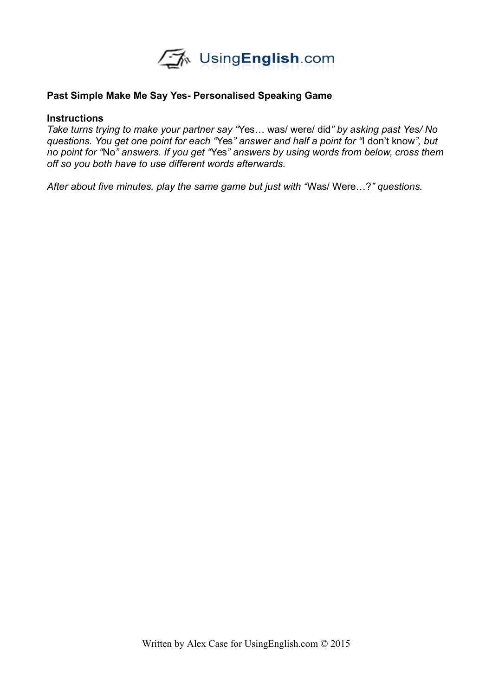

## **Past Simple Make Me Say Yes- Personalised Speaking Game**

## **Instructions**

*Take turns trying to make your partner say "*Yes… was/ were/ did*" by asking past Yes/ No questions. You get one point for each "*Yes*" answer and half a point for "*I don't know*", but no point for "*No*" answers. If you get "*Yes*" answers by using words from below, cross them off so you both have to use different words afterwards.* 

*After about five minutes, play the same game but just with "*Was/ Were…?*" questions.*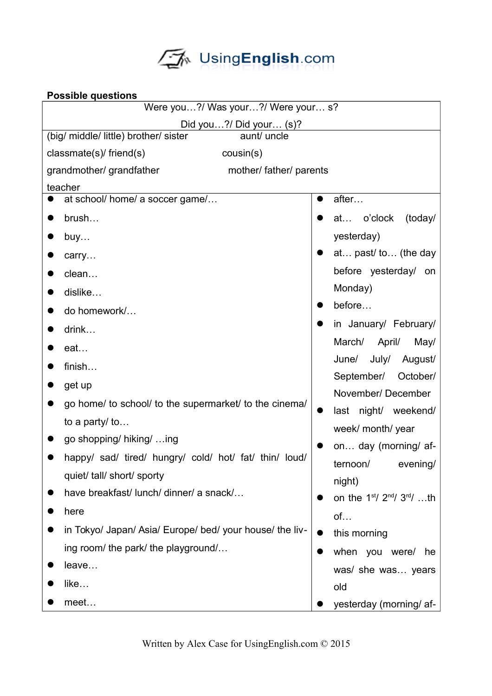

| <b>Possible questions</b>                                                          |                                   |  |
|------------------------------------------------------------------------------------|-----------------------------------|--|
| Were you?/ Was your?/ Were your s?                                                 |                                   |  |
| Did you?/ Did your $(s)$ ?<br>(big/ middle/ little) brother/ sister<br>aunt/ uncle |                                   |  |
|                                                                                    |                                   |  |
| $classmate(s)$ friend(s)<br>cousin(s)                                              |                                   |  |
| grandmother/ grandfather<br>mother/ father/ parents<br>teacher                     |                                   |  |
| at school/ home/ a soccer game/                                                    | after                             |  |
| brush                                                                              | o'clock<br>(today/<br>at          |  |
| buy                                                                                | yesterday)                        |  |
| carry                                                                              | at past/ to (the day              |  |
| clean                                                                              | before yesterday/<br>on           |  |
| dislike                                                                            | Monday)                           |  |
| do homework/                                                                       | before                            |  |
| drink                                                                              | in January/ February/             |  |
| eat                                                                                | March/<br>April/<br>May/          |  |
| finish                                                                             | July/<br>June/<br>August/         |  |
| get up                                                                             | September/<br>October/            |  |
| go home/ to school/ to the supermarket/ to the cinema/                             | November/December                 |  |
| to a party/ to                                                                     | last night/ weekend/              |  |
| go shopping/ hiking/  ing                                                          | week/ month/ year                 |  |
|                                                                                    | on day (morning/ af-              |  |
| happy/ sad/ tired/ hungry/ cold/ hot/ fat/ thin/ loud/                             | ternoon/<br>evening/              |  |
| quiet/ tall/ short/ sporty                                                         | night)                            |  |
| have breakfast/ lunch/ dinner/ a snack/                                            | on the $1^{st}/2^{nd}/3^{rd}/$ th |  |
| here                                                                               | of                                |  |
| in Tokyo/ Japan/ Asia/ Europe/ bed/ your house/ the liv-                           | this morning                      |  |
| ing room/ the park/ the playground/                                                | when you were/<br>he<br>$\bullet$ |  |
| leave                                                                              | was/ she was years                |  |
| like                                                                               | old                               |  |
| meet                                                                               | yesterday (morning/ af-           |  |